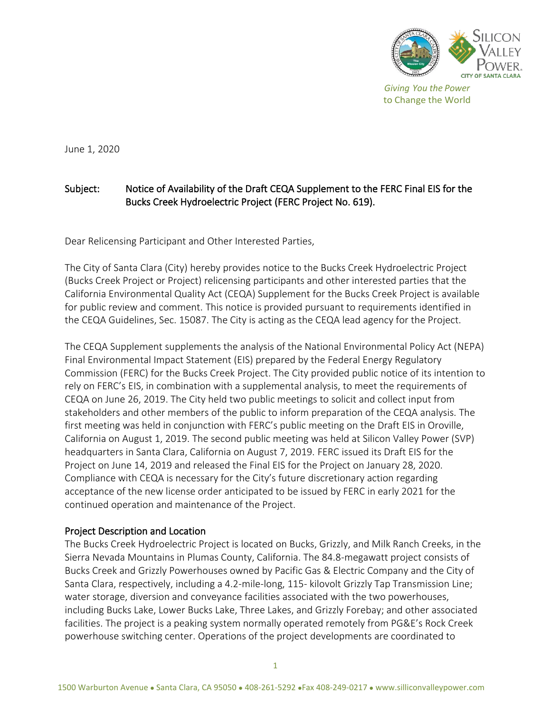

June 1, 2020

# Subject: Notice of Availability of the Draft CEQA Supplement to the FERC Final EIS for the Bucks Creek Hydroelectric Project (FERC Project No. 619).

Dear Relicensing Participant and Other Interested Parties,

The City of Santa Clara (City) hereby provides notice to the Bucks Creek Hydroelectric Project (Bucks Creek Project or Project) relicensing participants and other interested parties that the California Environmental Quality Act (CEQA) Supplement for the Bucks Creek Project is available for public review and comment. This notice is provided pursuant to requirements identified in the CEQA Guidelines, Sec. 15087. The City is acting as the CEQA lead agency for the Project.

The CEQA Supplement supplements the analysis of the National Environmental Policy Act (NEPA) Final Environmental Impact Statement (EIS) prepared by the Federal Energy Regulatory Commission (FERC) for the Bucks Creek Project. The City provided public notice of its intention to rely on FERC's EIS, in combination with a supplemental analysis, to meet the requirements of CEQA on June 26, 2019. The City held two public meetings to solicit and collect input from stakeholders and other members of the public to inform preparation of the CEQA analysis. The first meeting was held in conjunction with FERC's public meeting on the Draft EIS in Oroville, California on August 1, 2019. The second public meeting was held at Silicon Valley Power (SVP) headquarters in Santa Clara, California on August 7, 2019. FERC issued its Draft EIS for the Project on June 14, 2019 and released the Final EIS for the Project on January 28, 2020. Compliance with CEQA is necessary for the City's future discretionary action regarding acceptance of the new license order anticipated to be issued by FERC in early 2021 for the continued operation and maintenance of the Project.

# Project Description and Location

The Bucks Creek Hydroelectric Project is located on Bucks, Grizzly, and Milk Ranch Creeks, in the Sierra Nevada Mountains in Plumas County, California. The 84.8-megawatt project consists of Bucks Creek and Grizzly Powerhouses owned by Pacific Gas & Electric Company and the City of Santa Clara, respectively, including a 4.2-mile-long, 115- kilovolt Grizzly Tap Transmission Line; water storage, diversion and conveyance facilities associated with the two powerhouses, including Bucks Lake, Lower Bucks Lake, Three Lakes, and Grizzly Forebay; and other associated facilities. The project is a peaking system normally operated remotely from PG&E's Rock Creek powerhouse switching center. Operations of the project developments are coordinated to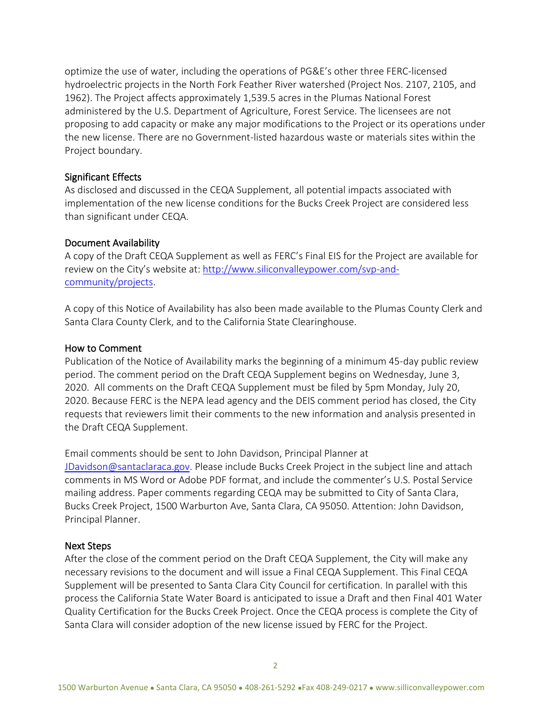optimize the use of water, including the operations of PG&E's other three FERC-licensed hydroelectric projects in the North Fork Feather River watershed (Project Nos. 2107, 2105, and 1962). The Project affects approximately 1,539.5 acres in the Plumas National Forest administered by the U.S. Department of Agriculture, Forest Service. The licensees are not proposing to add capacity or make any major modifications to the Project or its operations under the new license. There are no Government-listed hazardous waste or materials sites within the Project boundary.

### Significant Effects

As disclosed and discussed in the CEQA Supplement, all potential impacts associated with implementation of the new license conditions for the Bucks Creek Project are considered less than significant under CEQA.

# Document Availability

A copy of the Draft CEQA Supplement as well as FERC's Final EIS for the Project are available for review on the City's website at: [http://www.siliconvalleypower.com/svp-and](http://www.siliconvalleypower.com/svp-and-community/projects)[community/projects.](http://www.siliconvalleypower.com/svp-and-community/projects)

A copy of this Notice of Availability has also been made available to the Plumas County Clerk and Santa Clara County Clerk, and to the California State Clearinghouse.

# How to Comment

Publication of the Notice of Availability marks the beginning of a minimum 45-day public review period. The comment period on the Draft CEQA Supplement begins on Wednesday, June 3, 2020. All comments on the Draft CEQA Supplement must be filed by 5pm Monday, July 20, 2020. Because FERC is the NEPA lead agency and the DEIS comment period has closed, the City requests that reviewers limit their comments to the new information and analysis presented in the Draft CEQA Supplement.

Email comments should be sent to John Davidson, Principal Planner at JDavidson@santaclaraca.gov. Please include Bucks Creek Project in the subject line and attach comments in MS Word or Adobe PDF format, and include the commenter's U.S. Postal Service mailing address. Paper comments regarding CEQA may be submitted to City of Santa Clara, Bucks Creek Project, 1500 Warburton Ave, Santa Clara, CA 95050. Attention: John Davidson, Principal Planner.

#### Next Steps

After the close of the comment period on the Draft CEQA Supplement, the City will make any necessary revisions to the document and will issue a Final CEQA Supplement. This Final CEQA Supplement will be presented to Santa Clara City Council for certification. In parallel with this process the California State Water Board is anticipated to issue a Draft and then Final 401 Water Quality Certification for the Bucks Creek Project. Once the CEQA process is complete the City of Santa Clara will consider adoption of the new license issued by FERC for the Project.